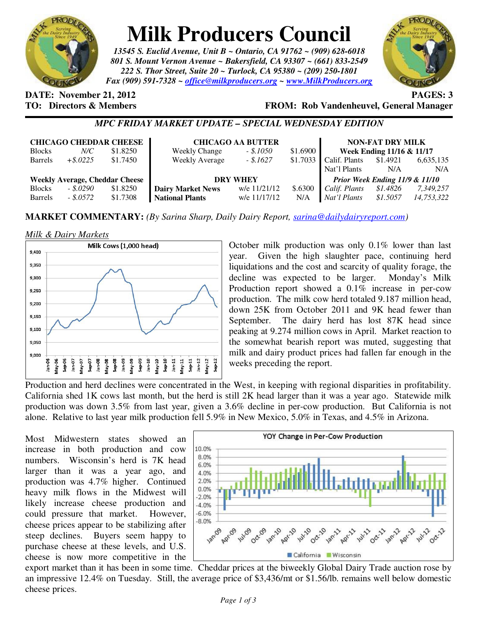

# **Milk Producers Council**

*13545 S. Euclid Avenue, Unit B ~ Ontario, CA 91762 ~ (909) 628-6018 801 S. Mount Vernon Avenue ~ Bakersfield, CA 93307 ~ (661) 833-2549 222 S. Thor Street, Suite 20 ~ Turlock, CA 95380 ~ (209) 250-1801 Fax (909) 591-7328 ~ office@milkproducers.org ~ www.MilkProducers.org*



**DATE:** November 21, 2012 **PAGES: 3** 

**TO: Directors & Members FROM: Rob Vandenheuvel, General Manager** 

## *MPC FRIDAY MARKET UPDATE – SPECIAL WEDNESDAY EDITION*

| <b>CHICAGO CHEDDAR CHEESE</b>         |             |          | <b>CHICAGO AA BUTTER</b> |              |          | <b>NON-FAT DRY MILK</b>        |          |            |
|---------------------------------------|-------------|----------|--------------------------|--------------|----------|--------------------------------|----------|------------|
| <b>Blocks</b>                         | $N\!/\!C$   | \$1.8250 | <b>Weekly Change</b>     | $-.1050$     | \$1.6900 | Week Ending 11/16 & 11/17      |          |            |
| <b>Barrels</b>                        | $+$ \$.0225 | \$1.7450 | <b>Weekly Average</b>    | $-.1627$     |          | $$1.7033$ Calif. Plants        | \$1.4921 | 6,635,135  |
|                                       |             |          |                          |              |          | Nat'l Plants                   | N/A      | N/A        |
| <b>Weekly Average, Cheddar Cheese</b> |             |          | <b>DRY WHEY</b>          |              |          | Prior Week Ending 11/9 & 11/10 |          |            |
| <b>Blocks</b>                         | $-.5.0290$  | \$1.8250 | <b>Dairy Market News</b> | w/e 11/21/12 | \$.6300  | Calif. Plants                  | \$1.4826 | 7,349,257  |
| <b>Barrels</b>                        | $-.5.0572$  | \$1.7308 | <b>National Plants</b>   | w/e 11/17/12 | N/A      | Nat'l Plants                   | \$1.5057 | 14,753,322 |

**MARKET COMMENTARY:** *(By Sarina Sharp, Daily Dairy Report, sarina@dailydairyreport.com)* 

#### *Milk & Dairy Markets*



October milk production was only 0.1% lower than last year. Given the high slaughter pace, continuing herd liquidations and the cost and scarcity of quality forage, the decline was expected to be larger. Monday's Milk Production report showed a 0.1% increase in per-cow production. The milk cow herd totaled 9.187 million head, down 25K from October 2011 and 9K head fewer than September. The dairy herd has lost 87K head since peaking at 9.274 million cows in April. Market reaction to the somewhat bearish report was muted, suggesting that milk and dairy product prices had fallen far enough in the weeks preceding the report.

Production and herd declines were concentrated in the West, in keeping with regional disparities in profitability. California shed 1K cows last month, but the herd is still 2K head larger than it was a year ago. Statewide milk production was down 3.5% from last year, given a 3.6% decline in per-cow production. But California is not alone. Relative to last year milk production fell 5.9% in New Mexico, 5.0% in Texas, and 4.5% in Arizona.

Most Midwestern states showed an increase in both production and cow numbers. Wisconsin's herd is 7K head larger than it was a year ago, and production was 4.7% higher. Continued heavy milk flows in the Midwest will likely increase cheese production and could pressure that market. However, cheese prices appear to be stabilizing after steep declines. Buyers seem happy to purchase cheese at these levels, and U.S. cheese is now more competitive in the



export market than it has been in some time. Cheddar prices at the biweekly Global Dairy Trade auction rose by an impressive 12.4% on Tuesday. Still, the average price of \$3,436/mt or \$1.56/lb. remains well below domestic cheese prices.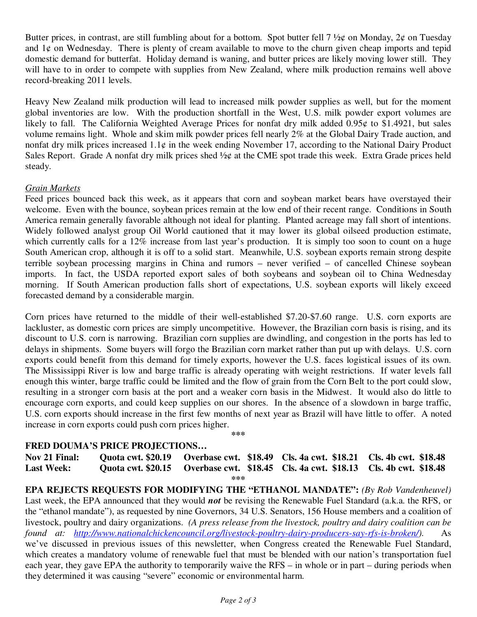Butter prices, in contrast, are still fumbling about for a bottom. Spot butter fell  $7\frac{1}{2}\phi$  on Monday,  $2\phi$  on Tuesday and  $1¢$  on Wednesday. There is plenty of cream available to move to the churn given cheap imports and tepid domestic demand for butterfat. Holiday demand is waning, and butter prices are likely moving lower still. They will have to in order to compete with supplies from New Zealand, where milk production remains well above record-breaking 2011 levels.

Heavy New Zealand milk production will lead to increased milk powder supplies as well, but for the moment global inventories are low. With the production shortfall in the West, U.S. milk powder export volumes are likely to fall. The California Weighted Average Prices for nonfat dry milk added 0.95¢ to \$1.4921, but sales volume remains light. Whole and skim milk powder prices fell nearly 2% at the Global Dairy Trade auction, and nonfat dry milk prices increased  $1.1\phi$  in the week ending November 17, according to the National Dairy Product Sales Report. Grade A nonfat dry milk prices shed ½¢ at the CME spot trade this week. Extra Grade prices held steady.

#### *Grain Markets*

Feed prices bounced back this week, as it appears that corn and soybean market bears have overstayed their welcome. Even with the bounce, soybean prices remain at the low end of their recent range. Conditions in South America remain generally favorable although not ideal for planting. Planted acreage may fall short of intentions. Widely followed analyst group Oil World cautioned that it may lower its global oilseed production estimate, which currently calls for a 12% increase from last year's production. It is simply too soon to count on a huge South American crop, although it is off to a solid start. Meanwhile, U.S. soybean exports remain strong despite terrible soybean processing margins in China and rumors – never verified – of cancelled Chinese soybean imports. In fact, the USDA reported export sales of both soybeans and soybean oil to China Wednesday morning. If South American production falls short of expectations, U.S. soybean exports will likely exceed forecasted demand by a considerable margin.

Corn prices have returned to the middle of their well-established \$7.20-\$7.60 range. U.S. corn exports are lackluster, as domestic corn prices are simply uncompetitive. However, the Brazilian corn basis is rising, and its discount to U.S. corn is narrowing. Brazilian corn supplies are dwindling, and congestion in the ports has led to delays in shipments. Some buyers will forgo the Brazilian corn market rather than put up with delays. U.S. corn exports could benefit from this demand for timely exports, however the U.S. faces logistical issues of its own. The Mississippi River is low and barge traffic is already operating with weight restrictions. If water levels fall enough this winter, barge traffic could be limited and the flow of grain from the Corn Belt to the port could slow, resulting in a stronger corn basis at the port and a weaker corn basis in the Midwest. It would also do little to encourage corn exports, and could keep supplies on our shores. In the absence of a slowdown in barge traffic, U.S. corn exports should increase in the first few months of next year as Brazil will have little to offer. A noted increase in corn exports could push corn prices higher.

**\*\*\*** 

## **FRED DOUMA'S PRICE PROJECTIONS…**

**Nov 21 Final: Quota cwt. \$20.19 Overbase cwt. \$18.49 Cls. 4a cwt. \$18.21 Cls. 4b cwt. \$18.48 Last Week: Quota cwt. \$20.15 Overbase cwt. \$18.45 Cls. 4a cwt. \$18.13 Cls. 4b cwt. \$18.48 \*\*\*** 

**EPA REJECTS REQUESTS FOR MODIFYING THE "ETHANOL MANDATE":** *(By Rob Vandenheuvel)*  Last week, the EPA announced that they would *not* be revising the Renewable Fuel Standard (a.k.a. the RFS, or the "ethanol mandate"), as requested by nine Governors, 34 U.S. Senators, 156 House members and a coalition of livestock, poultry and dairy organizations. *(A press release from the livestock, poultry and dairy coalition can be found at: http://www.nationalchickencouncil.org/livestock-poultry-dairy-producers-say-rfs-is-broken/).* As we've discussed in previous issues of this newsletter, when Congress created the Renewable Fuel Standard, which creates a mandatory volume of renewable fuel that must be blended with our nation's transportation fuel each year, they gave EPA the authority to temporarily waive the RFS – in whole or in part – during periods when they determined it was causing "severe" economic or environmental harm.